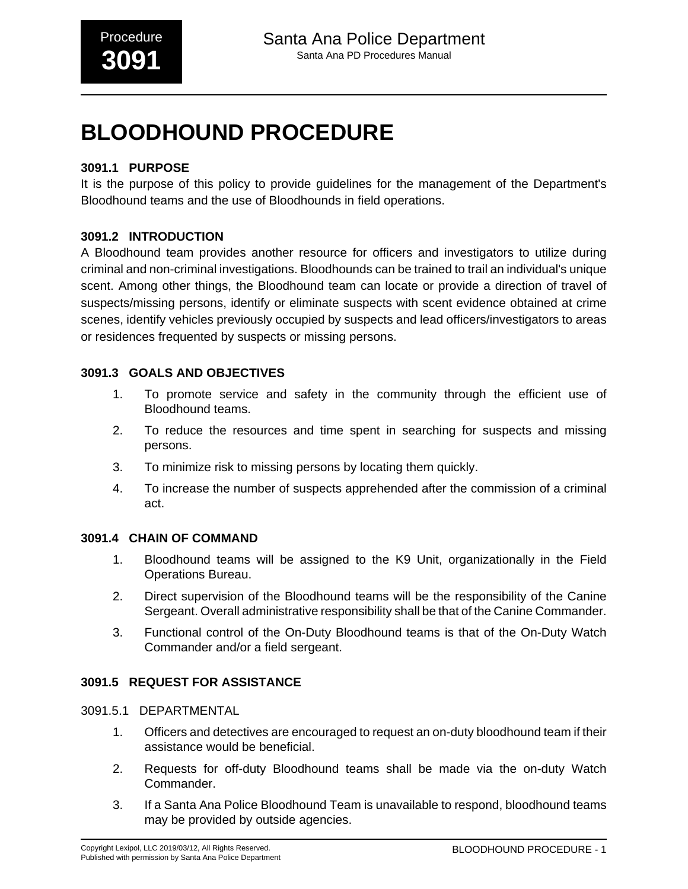# **3091.1 PURPOSE**

It is the purpose of this policy to provide guidelines for the management of the Department's Bloodhound teams and the use of Bloodhounds in field operations.

## **3091.2 INTRODUCTION**

A Bloodhound team provides another resource for officers and investigators to utilize during criminal and non-criminal investigations. Bloodhounds can be trained to trail an individual's unique scent. Among other things, the Bloodhound team can locate or provide a direction of travel of suspects/missing persons, identify or eliminate suspects with scent evidence obtained at crime scenes, identify vehicles previously occupied by suspects and lead officers/investigators to areas or residences frequented by suspects or missing persons.

## **3091.3 GOALS AND OBJECTIVES**

- 1. To promote service and safety in the community through the efficient use of Bloodhound teams.
- 2. To reduce the resources and time spent in searching for suspects and missing persons.
- 3. To minimize risk to missing persons by locating them quickly.
- 4. To increase the number of suspects apprehended after the commission of a criminal act.

### **3091.4 CHAIN OF COMMAND**

- 1. Bloodhound teams will be assigned to the K9 Unit, organizationally in the Field Operations Bureau.
- 2. Direct supervision of the Bloodhound teams will be the responsibility of the Canine Sergeant. Overall administrative responsibility shall be that of the Canine Commander.
- 3. Functional control of the On-Duty Bloodhound teams is that of the On-Duty Watch Commander and/or a field sergeant.

## **3091.5 REQUEST FOR ASSISTANCE**

## 3091.5.1 DEPARTMENTAL

- 1. Officers and detectives are encouraged to request an on-duty bloodhound team if their assistance would be beneficial.
- 2. Requests for off-duty Bloodhound teams shall be made via the on-duty Watch Commander.
- 3. If a Santa Ana Police Bloodhound Team is unavailable to respond, bloodhound teams may be provided by outside agencies.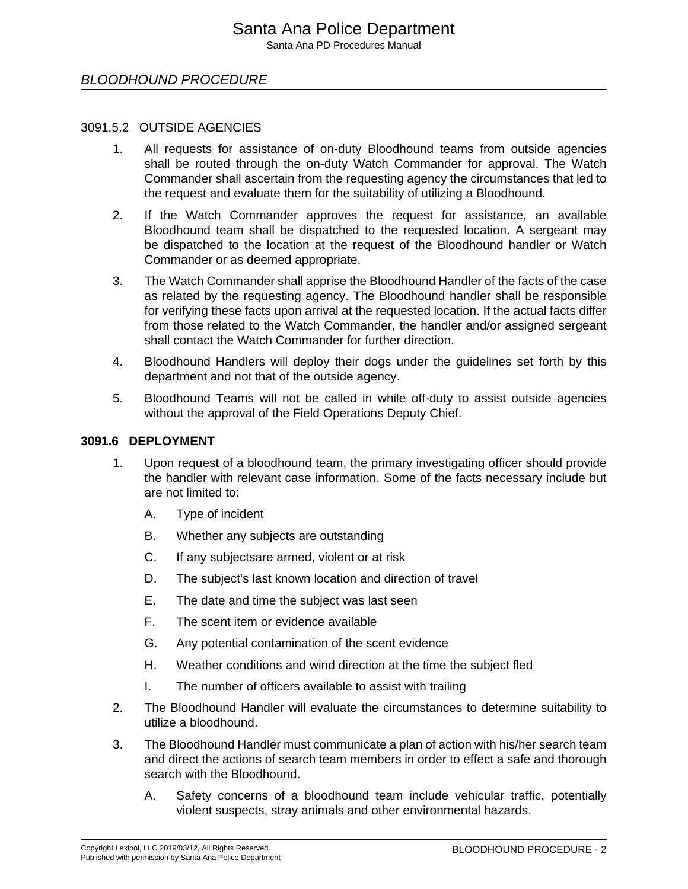#### 3091.5.2 OUTSIDE AGENCIES

- 1. All requests for assistance of on-duty Bloodhound teams from outside agencies shall be routed through the on-duty Watch Commander for approval. The Watch Commander shall ascertain from the requesting agency the circumstances that led to the request and evaluate them for the suitability of utilizing a Bloodhound.
- 2. If the Watch Commander approves the request for assistance, an available Bloodhound team shall be dispatched to the requested location. A sergeant may be dispatched to the location at the request of the Bloodhound handler or Watch Commander or as deemed appropriate.
- 3. The Watch Commander shall apprise the Bloodhound Handler of the facts of the case as related by the requesting agency. The Bloodhound handler shall be responsible for verifying these facts upon arrival at the requested location. If the actual facts differ from those related to the Watch Commander, the handler and/or assigned sergeant shall contact the Watch Commander for further direction.
- 4. Bloodhound Handlers will deploy their dogs under the guidelines set forth by this department and not that of the outside agency.
- 5. Bloodhound Teams will not be called in while off-duty to assist outside agencies without the approval of the Field Operations Deputy Chief.

### **3091.6 DEPLOYMENT**

- 1. Upon request of a bloodhound team, the primary investigating officer should provide the handler with relevant case information. Some of the facts necessary include but are not limited to:
	- A. Type of incident
	- B. Whether any subjects are outstanding
	- C. If any subjectsare armed, violent or at risk
	- D. The subject's last known location and direction of travel
	- E. The date and time the subject was last seen
	- F. The scent item or evidence available
	- G. Any potential contamination of the scent evidence
	- H. Weather conditions and wind direction at the time the subject fled
	- I. The number of officers available to assist with trailing
- 2. The Bloodhound Handler will evaluate the circumstances to determine suitability to utilize a bloodhound.
- 3. The Bloodhound Handler must communicate a plan of action with his/her search team and direct the actions of search team members in order to effect a safe and thorough search with the Bloodhound.
	- A. Safety concerns of a bloodhound team include vehicular traffic, potentially violent suspects, stray animals and other environmental hazards.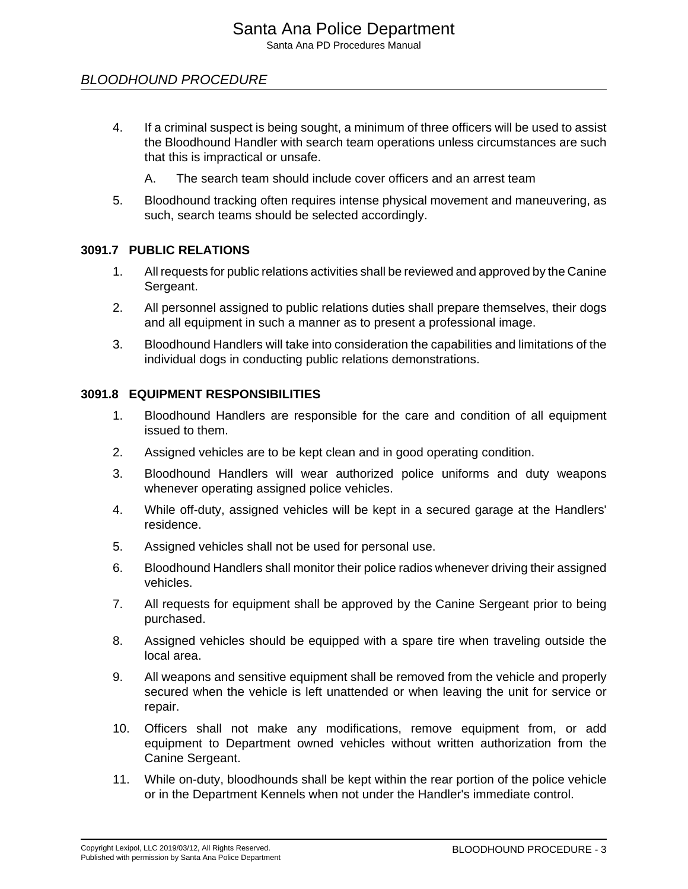- 4. If a criminal suspect is being sought, a minimum of three officers will be used to assist the Bloodhound Handler with search team operations unless circumstances are such that this is impractical or unsafe.
	- A. The search team should include cover officers and an arrest team
- 5. Bloodhound tracking often requires intense physical movement and maneuvering, as such, search teams should be selected accordingly.

### **3091.7 PUBLIC RELATIONS**

- 1. All requests for public relations activities shall be reviewed and approved by the Canine Sergeant.
- 2. All personnel assigned to public relations duties shall prepare themselves, their dogs and all equipment in such a manner as to present a professional image.
- 3. Bloodhound Handlers will take into consideration the capabilities and limitations of the individual dogs in conducting public relations demonstrations.

#### **3091.8 EQUIPMENT RESPONSIBILITIES**

- 1. Bloodhound Handlers are responsible for the care and condition of all equipment issued to them.
- 2. Assigned vehicles are to be kept clean and in good operating condition.
- 3. Bloodhound Handlers will wear authorized police uniforms and duty weapons whenever operating assigned police vehicles.
- 4. While off-duty, assigned vehicles will be kept in a secured garage at the Handlers' residence.
- 5. Assigned vehicles shall not be used for personal use.
- 6. Bloodhound Handlers shall monitor their police radios whenever driving their assigned vehicles.
- 7. All requests for equipment shall be approved by the Canine Sergeant prior to being purchased.
- 8. Assigned vehicles should be equipped with a spare tire when traveling outside the local area.
- 9. All weapons and sensitive equipment shall be removed from the vehicle and properly secured when the vehicle is left unattended or when leaving the unit for service or repair.
- 10. Officers shall not make any modifications, remove equipment from, or add equipment to Department owned vehicles without written authorization from the Canine Sergeant.
- 11. While on-duty, bloodhounds shall be kept within the rear portion of the police vehicle or in the Department Kennels when not under the Handler's immediate control.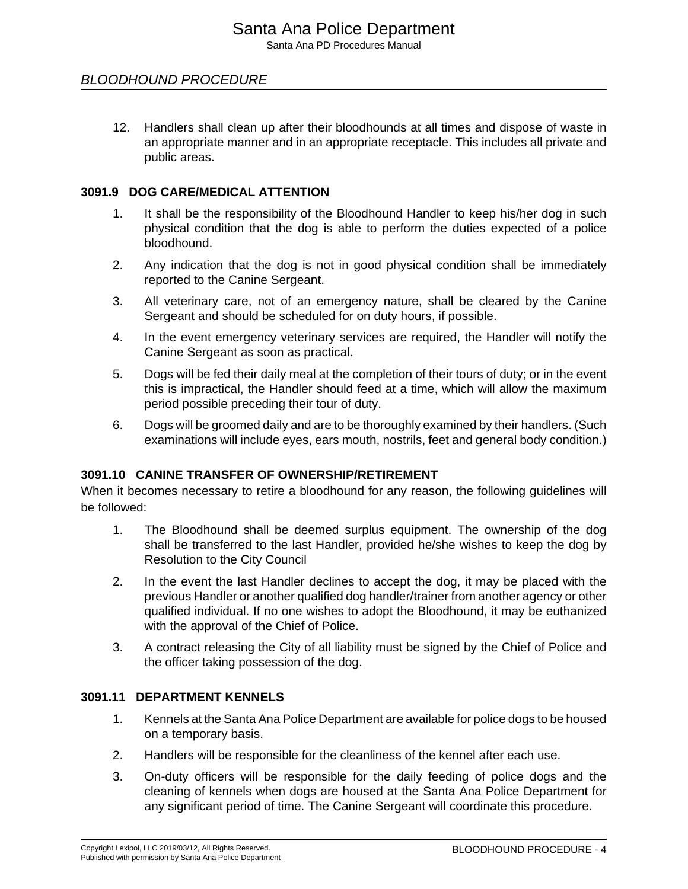12. Handlers shall clean up after their bloodhounds at all times and dispose of waste in an appropriate manner and in an appropriate receptacle. This includes all private and public areas.

## **3091.9 DOG CARE/MEDICAL ATTENTION**

- 1. It shall be the responsibility of the Bloodhound Handler to keep his/her dog in such physical condition that the dog is able to perform the duties expected of a police bloodhound.
- 2. Any indication that the dog is not in good physical condition shall be immediately reported to the Canine Sergeant.
- 3. All veterinary care, not of an emergency nature, shall be cleared by the Canine Sergeant and should be scheduled for on duty hours, if possible.
- 4. In the event emergency veterinary services are required, the Handler will notify the Canine Sergeant as soon as practical.
- 5. Dogs will be fed their daily meal at the completion of their tours of duty; or in the event this is impractical, the Handler should feed at a time, which will allow the maximum period possible preceding their tour of duty.
- 6. Dogs will be groomed daily and are to be thoroughly examined by their handlers. (Such examinations will include eyes, ears mouth, nostrils, feet and general body condition.)

### **3091.10 CANINE TRANSFER OF OWNERSHIP/RETIREMENT**

When it becomes necessary to retire a bloodhound for any reason, the following guidelines will be followed:

- 1. The Bloodhound shall be deemed surplus equipment. The ownership of the dog shall be transferred to the last Handler, provided he/she wishes to keep the dog by Resolution to the City Council
- 2. In the event the last Handler declines to accept the dog, it may be placed with the previous Handler or another qualified dog handler/trainer from another agency or other qualified individual. If no one wishes to adopt the Bloodhound, it may be euthanized with the approval of the Chief of Police.
- 3. A contract releasing the City of all liability must be signed by the Chief of Police and the officer taking possession of the dog.

## **3091.11 DEPARTMENT KENNELS**

- 1. Kennels at the Santa Ana Police Department are available for police dogs to be housed on a temporary basis.
- 2. Handlers will be responsible for the cleanliness of the kennel after each use.
- 3. On-duty officers will be responsible for the daily feeding of police dogs and the cleaning of kennels when dogs are housed at the Santa Ana Police Department for any significant period of time. The Canine Sergeant will coordinate this procedure.